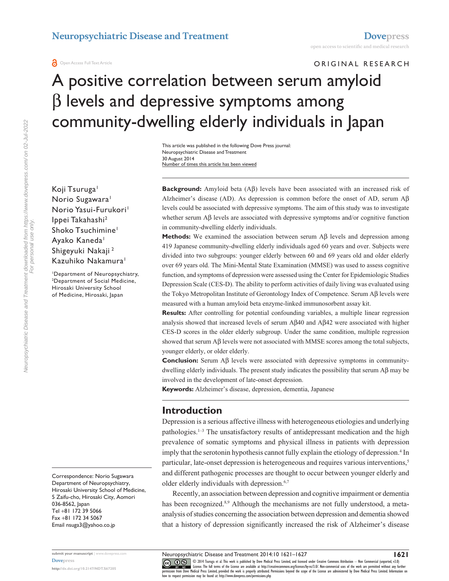ORIGINAL RESEARCH

# A positive correlation between serum amyloid β levels and depressive symptoms among community-dwelling elderly individuals in Japan

This article was published in the following Dove Press journal: Neuropsychiatric Disease and Treatment 30 August 2014 Number of times this article has been viewed

Koji Tsuruga<sup>1</sup> Norio Sugawara<sup>1</sup> Norio Yasui-Furukori<sup>1</sup> Ippei Takahashi2 Shoko Tsuchimine<sup>1</sup> Ayako Kaneda<sup>1</sup> Shigeyuki Nakaji 2 Kazuhiko Nakamura<sup>1</sup>

1 Department of Neuropsychiatry, 2 Department of Social Medicine, Hirosaki University School of Medicine, Hirosaki, Japan

Correspondence: Norio Sugawara Department of Neuropsychiatry, Hirosaki University School of Medicine, 5 Zaifu-cho, Hirosaki City, Aomori 036-8562, Japan Tel +81 172 39 5066 Fax +81 172 34 5067 Email [nsuga3@yahoo.co.jp](mailto:nsuga3@yahoo.co.jp)

**submit your manuscript** | <www.dovepress.com> **[Dovepress](www.dovepress.com)**

**<http://dx.doi.org/10.2147/NDT.S67205>**

**Background:** Amyloid beta (Aβ) levels have been associated with an increased risk of Alzheimer's disease (AD). As depression is common before the onset of AD, serum  $\mathbf{A}\mathbf{\beta}$ levels could be associated with depressive symptoms. The aim of this study was to investigate whether serum Aβ levels are associated with depressive symptoms and/or cognitive function in community-dwelling elderly individuals.

**Methods:** We examined the association between serum Aβ levels and depression among 419 Japanese community-dwelling elderly individuals aged 60 years and over. Subjects were divided into two subgroups: younger elderly between 60 and 69 years old and older elderly over 69 years old. The Mini-Mental State Examination (MMSE) was used to assess cognitive function, and symptoms of depression were assessed using the Center for Epidemiologic Studies Depression Scale (CES-D). The ability to perform activities of daily living was evaluated using the Tokyo Metropolitan Institute of Gerontology Index of Competence. Serum Aβ levels were measured with a human amyloid beta enzyme-linked immunosorbent assay kit.

**Results:** After controlling for potential confounding variables, a multiple linear regression analysis showed that increased levels of serum Aβ40 and Aβ42 were associated with higher CES-D scores in the older elderly subgroup. Under the same condition, multiple regression showed that serum Aβ levels were not associated with MMSE scores among the total subjects, younger elderly, or older elderly.

**Conclusion:** Serum Aβ levels were associated with depressive symptoms in communitydwelling elderly individuals. The present study indicates the possibility that serum Aβ may be involved in the development of late-onset depression.

**Keywords:** Alzheimer's disease, depression, dementia, Japanese

# **Introduction**

Depression is a serious affective illness with heterogeneous etiologies and underlying pathologies.<sup>1-3</sup> The unsatisfactory results of antidepressant medication and the high prevalence of somatic symptoms and physical illness in patients with depression imply that the serotonin hypothesis cannot fully explain the etiology of depression.<sup>4</sup> In particular, late-onset depression is heterogeneous and requires various interventions,<sup>5</sup> and different pathogenic processes are thought to occur between younger elderly and older elderly individuals with depression.<sup>6,7</sup>

Recently, an association between depression and cognitive impairment or dementia has been recognized.<sup>8,9</sup> Although the mechanisms are not fully understood, a metaanalysis of studies concerning the association between depression and dementia showed that a history of depression significantly increased the risk of Alzheimer's disease

Neuropsychiatric Disease and Treatment downloaded from https://www.dovepress.com/ on 02-Jul-2022 Neuropsychiatric Disease and Treatment downloaded from https://www.dovepress.com/ on 02-Jul-2022 For personal use only. For personal use only

> CO ODI 4 Tsuruga et al. This work is published by Dove Medical Press Limited, and licensed under Creative Commons Attribution - Non Commercial (unported, v3.0)<br> [permission from Dove M](http://www.dovepress.com/permissions.php)edical Press Limited, provided the work how to request permission may be found at: http://www.dovepress.com/permissions.php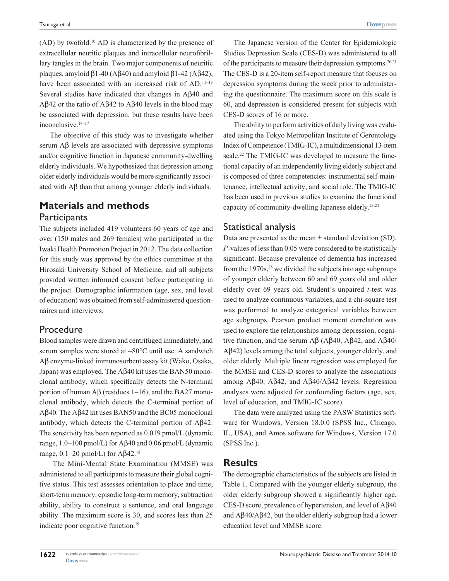(AD) by twofold.10 AD is characterized by the presence of extracellular neuritic plaques and intracellular neurofibrillary tangles in the brain. Two major components of neuritic plaques, amyloid β1-40 (Aβ40) and amyloid β1-42 (Aβ42), have been associated with an increased risk of AD.<sup>11-13</sup> Several studies have indicated that changes in Aβ40 and Aβ42 or the ratio of Aβ42 to Aβ40 levels in the blood may be associated with depression, but these results have been inconclusive.14–17

The objective of this study was to investigate whether serum Aβ levels are associated with depressive symptoms and/or cognitive function in Japanese community-dwelling elderly individuals. We hypothesized that depression among older elderly individuals would be more significantly associated with Aβ than that among younger elderly individuals.

# **Materials and methods Participants**

The subjects included 419 volunteers 60 years of age and over (150 males and 269 females) who participated in the Iwaki Health Promotion Project in 2012. The data collection for this study was approved by the ethics committee at the Hirosaki University School of Medicine, and all subjects provided written informed consent before participating in the project. Demographic information (age, sex, and level of education) was obtained from self-administered questionnaires and interviews.

# Procedure

Blood samples were drawn and centrifuged immediately, and serum samples were stored at -80°C until use. A sandwich Aβ enzyme-linked immunosorbent assay kit (Wako, Osaka, Japan) was employed. The Aβ40 kit uses the BAN50 monoclonal antibody, which specifically detects the N-terminal portion of human  $\overrightarrow{AB}$  (residues 1–16), and the BA27 monoclonal antibody, which detects the C-terminal portion of Aβ40. The Aβ42 kit uses BAN50 and the BC05 monoclonal antibody, which detects the C-terminal portion of Aβ42. The sensitivity has been reported as 0.019 pmol/L (dynamic range, 1.0–100 pmol/L) for Aβ40 and 0.06 pmol/L (dynamic range,  $0.1-20$  pmol/L) for Aβ42.<sup>18</sup>

 The Mini-Mental State Examination (MMSE) was administered to all participants to measure their global cognitive status. This test assesses orientation to place and time, short-term memory, episodic long-term memory, subtraction ability, ability to construct a sentence, and oral language ability. The maximum score is 30, and scores less than 25 indicate poor cognitive function.<sup>19</sup>

The Japanese version of the Center for Epidemiologic Studies Depression Scale (CES-D) was administered to all of the participants to measure their depression symptoms.<sup>20,21</sup> The CES-D is a 20-item self-report measure that focuses on depression symptoms during the week prior to administering the questionnaire. The maximum score on this scale is 60, and depression is considered present for subjects with CES-D scores of 16 or more.

The ability to perform activities of daily living was evaluated using the Tokyo Metropolitan Institute of Gerontology Index of Competence (TMIG-IC), a multidimensional 13-item scale.<sup>22</sup> The TMIG-IC was developed to measure the functional capacity of an independently living elderly subject and is composed of three competencies: instrumental self-maintenance, intellectual activity, and social role. The TMIG-IC has been used in previous studies to examine the functional capacity of community-dwelling Japanese elderly.23,24

# Statistical analysis

Data are presented as the mean ± standard deviation (SD). *P*-values of less than 0.05 were considered to be statistically significant. Because prevalence of dementia has increased from the  $1970s<sub>1</sub><sup>25</sup>$  we divided the subjects into age subgroups of younger elderly between 60 and 69 years old and older elderly over 69 years old. Student's unpaired *t*-test was used to analyze continuous variables, and a chi-square test was performed to analyze categorical variables between age subgroups. Pearson product moment correlation was used to explore the relationships among depression, cognitive function, and the serum  $\text{AB}(A\text{B}40, \text{AB}42, \text{and } \text{AB}40/$ Aβ42) levels among the total subjects, younger elderly, and older elderly. Multiple linear regression was employed for the MMSE and CES-D scores to analyze the associations among Aβ40, Aβ42, and Aβ40/Aβ42 levels. Regression analyses were adjusted for confounding factors (age, sex, level of education, and TMIG-IC score).

The data were analyzed using the PASW Statistics software for Windows, Version 18.0.0 (SPSS Inc., Chicago, IL, USA), and Amos software for Windows, Version 17.0 (SPSS Inc.).

# **Results**

The demographic characteristics of the subjects are listed in Table 1. Compared with the younger elderly subgroup, the older elderly subgroup showed a significantly higher age, CES-D score, prevalence of hypertension, and level of Aβ40 and Aβ40/Aβ42, but the older elderly subgroup had a lower education level and MMSE score.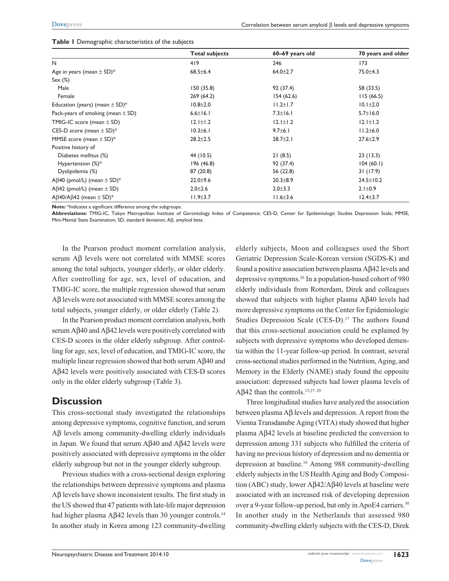|                                                   | <b>Total subjects</b> | 60-69 years old | 70 years and older |
|---------------------------------------------------|-----------------------|-----------------|--------------------|
| N                                                 | 419                   | 246             | 173                |
| Age in years (mean $\pm$ SD) <sup>*</sup>         | $68.5 \pm 6.4$        | $64.0 \pm 2.7$  | 75.0±4.3           |
| Sex $(\%)$                                        |                       |                 |                    |
| Male                                              | 150(35.8)             | 92 (37.4)       | 58 (33.5)          |
| Female                                            | 269(64.2)             | 154(62.6)       | 115(66.5)          |
| Education (years) (mean $\pm$ SD)*                | $10.8 + 2.0$          | $11.2 \pm 1.7$  | $10.1 \pm 2.0$     |
| Pack-years of smoking (mean $\pm$ SD)             | $6.6 \pm 16.1$        | $7.3 \pm 16.1$  | $5.7 \pm 16.0$     |
| TMIG-IC score (mean $\pm$ SD)                     | $12.1 \pm 1.2$        | $12.1 \pm 1.2$  | $12.1 \pm 1.2$     |
| CES-D score (mean $\pm$ SD)*                      | $10.3 \pm 6.1$        | $9.7 \pm 6.1$   | $11.2 \pm 6.0$     |
| MMSE score (mean $\pm$ SD) <sup>*</sup>           | $28.2 \pm 2.5$        | $28.7 \pm 2.1$  | $27.6 \pm 2.9$     |
| Positive history of                               |                       |                 |                    |
| Diabetes mellitus (%)                             | 44 (10.5)             | 21(8.5)         | 23(13.3)           |
| Hypertension (%)*                                 | 196(46.8)             | 92 (37.4)       | 104(60.1)          |
| Dyslipidemia (%)                                  | 87 (20.8)             | 56 (22.8)       | 31(17.9)           |
| $A\beta$ 40 (pmol/L) (mean $\pm$ SD) <sup>*</sup> | $22.0 + 9.6$          | $20.3 \pm 8.9$  | $24.5 \pm 10.2$    |
| $A\beta$ 42 (pmol/L) (mean $\pm$ SD)              | $2.0 \pm 2.6$         | $2.0 + 3.3$     | $2.1 \pm 0.9$      |
| AB40/AB42 (mean $\pm$ SD) <sup>*</sup>            | $11.9 \pm 3.7$        | $11.6 \pm 3.6$  | $12.4 \pm 3.7$     |

#### **Table 1** Demographic characteristics of the subjects

Note: \*Indicates a significant difference among the subgroups.

**Abbreviations:** TMIG-IC, Tokyo Metropolitan Institute of Gerontology Index of Competence; CES-D, Center for Epidemiologic Studies Depression Scale; MMSE, Mini-Mental State Examination; SD, standard deviation; Aβ, amyloid beta.

In the Pearson product moment correlation analysis, serum Aβ levels were not correlated with MMSE scores among the total subjects, younger elderly, or older elderly. After controlling for age, sex, level of education, and TMIG-IC score, the multiple regression showed that serum Aβ levels were not associated with MMSE scores among the total subjects, younger elderly, or older elderly (Table 2).

In the Pearson product moment correlation analysis, both serum Aβ40 and Aβ42 levels were positively correlated with CES-D scores in the older elderly subgroup. After controlling for age, sex, level of education, and TMIG-IC score, the multiple linear regression showed that both serum Aβ40 and Aβ42 levels were positively associated with CES-D scores only in the older elderly subgroup (Table 3).

# **Discussion**

This cross-sectional study investigated the relationships among depressive symptoms, cognitive function, and serum Aβ levels among community-dwelling elderly individuals in Japan. We found that serum Aβ40 and Aβ42 levels were positively associated with depressive symptoms in the older elderly subgroup but not in the younger elderly subgroup.

Previous studies with a cross-sectional design exploring the relationships between depressive symptoms and plasma Aβ levels have shown inconsistent results. The first study in the US showed that 47 patients with late-life major depression had higher plasma Aβ42 levels than 30 younger controls.<sup>14</sup> In another study in Korea among 123 community-dwelling elderly subjects, Moon and colleagues used the Short Geriatric Depression Scale-Korean version (SGDS-K) and found a positive association between plasma Aβ42 levels and depressive symptoms.26 In a population-based cohort of 980 elderly individuals from Rotterdam, Direk and colleagues showed that subjects with higher plasma Aβ40 levels had more depressive symptoms on the Center for Epidemiologic Studies Depression Scale (CES-D).<sup>17</sup> The authors found that this cross-sectional association could be explained by subjects with depressive symptoms who developed dementia within the 11-year follow-up period. In contrast, several cross-sectional studies performed in the Nutrition, Aging, and Memory in the Elderly (NAME) study found the opposite association: depressed subjects had lower plasma levels of Aβ42 than the controls.<sup>15,27–29</sup>

Three longitudinal studies have analyzed the association between plasma Aβ levels and depression. A report from the Vienna Transdanube Aging (VITA) study showed that higher plasma Aβ42 levels at baseline predicted the conversion to depression among 331 subjects who fulfilled the criteria of having no previous history of depression and no dementia or depression at baseline.16 Among 988 community-dwelling elderly subjects in the US Health Aging and Body Composition (ABC) study, lower Aβ42/Aβ40 levels at baseline were associated with an increased risk of developing depression over a 9-year follow-up period, but only in ApoE4 carriers.<sup>30</sup> In another study in the Netherlands that assessed 980 community-dwelling elderly subjects with the CES-D, Direk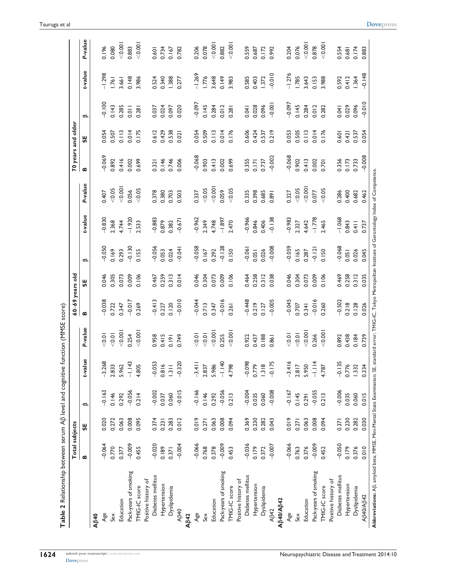| Table 2 Relationship between serum Aß level and cognitive function (MMSE score)                                                                                     |                |       |          |                                 |               |                   |       |          |          |           |                   |                    |          |              |         |
|---------------------------------------------------------------------------------------------------------------------------------------------------------------------|----------------|-------|----------|---------------------------------|---------------|-------------------|-------|----------|----------|-----------|-------------------|--------------------|----------|--------------|---------|
|                                                                                                                                                                     | Total subjects |       |          |                                 |               | $60-69$ years old |       |          |          |           |                   | 70 years and older |          |              |         |
|                                                                                                                                                                     | m              | 5€    | ≏        | t-value                         | P-value       | $\mathbf{a}$      | 56    | 6        | t-value  | P-value   | $\mathbf{\Omega}$ | 5E                 | 6        | t-value      | P-value |
| <b>A</b> <sup>840</sup>                                                                                                                                             |                |       |          |                                 |               |                   |       |          |          |           |                   |                    |          |              |         |
| Age                                                                                                                                                                 | $-0.064$       | 0.020 | $-0.163$ | $\frac{8}{66}$<br>$-3.2$        | 0.01          | $-0.038$          | 0.046 | $-0.050$ | $-0.830$ | 1,407     | $-0.069$          | 0.054              | $-0.100$ | $-1.298$     | 0.196   |
| Sex                                                                                                                                                                 | 0.770          | 0.272 | 0.146    | 2.833<br>5.962                  | $<$ 0.01 $\,$ | 0.722             | 0.305 | 0.169    | 2.368    | 0.05      | 0.892             | 0.507              | 0.143    | 1.761        | 0.080   |
| Education                                                                                                                                                           | 0.377          | 0.063 | 0.292    |                                 | 0.001         | 0.347             | 0.073 | 0.293    | 4.744    | 0.001     | 0.416             | 0.113              | 0.285    | 3.661        | < 0.00  |
| Pack-years of smoking                                                                                                                                               | $-0.009$       | 0.008 | $-0.056$ | $-1.143$                        | 0.254         | $-0.017$          | 0.009 | $-0.130$ | $-1.920$ | 0.056     | 0.002             | 0.014              | 0.011    | 0.148        | 0.883   |
| TMIG-IC score                                                                                                                                                       | 0.455          | 0.095 | 0.214    | 4.805                           | < 0.001       | 0.269             | 0.106 | 0.155    | 2.533    | < 0.05    | 0.699             | 0.175              | 0.281    | 3.986        | < 0.00  |
| Positive history of                                                                                                                                                 |                |       |          |                                 |               |                   |       |          |          |           |                   |                    |          |              |         |
| Diabetes mellitus                                                                                                                                                   | $-0.020$       | 0.374 | $-0.002$ | $\frac{53}{6}$<br>$\frac{0}{1}$ | 0.958         | $-0.413$          | 0.467 | $-0.056$ | $-0.883$ | 0.378     | 0.321             | 0.612              | 0.037    | 0.524        | 0.601   |
| Hypertension                                                                                                                                                        | 0.189          | 0.231 | 0.037    | 0.81                            | 0.415         | 0.227             | 0.259 | 0.053    | 0.879    | 0.380     | 0.146             | 0.429              | 0.024    | 0.340        | 0.734   |
| Dyslipidemia                                                                                                                                                        | 0.371          | 0.283 | 0.060    | $\overline{1311}$               | 0.191         | 0.120             | 0.313 | 0.024    | 0.382    | 0.703     | 0.746             | 0.538              | 0.097    | 1.388        | 0.167   |
| A <sub>B40</sub>                                                                                                                                                    | $-0.004$       | 0.012 | $-0.015$ | $-0.320$                        | 0.749         | $-0.010$          | 0.014 | $-0.041$ | $-0.671$ | 0.503     | 0.006             | 0.021              | 0.020    | 0.277        | 0.782   |
| <b>A</b> <sup>642</sup>                                                                                                                                             |                |       |          |                                 |               |                   |       |          |          |           |                   |                    |          |              |         |
| Age                                                                                                                                                                 | $-0.066$       | 0.019 | $-0.166$ | $-3.411$                        | $<0.01$       | $-0.044$          | 0.046 | $-0.058$ | $-0.962$ | 0.337     | $-0.068$          | 0.054              | $-0.097$ | $-1.269$     | 0.206   |
| Sex                                                                                                                                                                 | 0.768          | 0.271 | 0.146    | 2.837                           | $<0.01$       | 0.713             | 0.304 | 0.167    | 2.349    | < 0.05    | 0.903             | 0.509              | 0.145    | 1.776        | 0.078   |
| Education                                                                                                                                                           | 0.378          | 0.063 | 0.292    | 5.986                           | < 0.001       | 0.347             | 0.073 | 0.292    | 4.748    | < 0.001   | 0.413             | 0.113              | 0.284    | 3.648        | < 0.001 |
| Pack-years of smoking                                                                                                                                               | $-0.009$       | 0.008 | $-0.056$ | $-1.140$                        | 0.255         | $-0.016$          | 0.009 | $-0.128$ | $-1.897$ | 0.059     | 0.002             | 0.014              | 0.012    | 0.149        | 0.882   |
| TMIG-IC score                                                                                                                                                       | 0.453          | 0.094 | 0.213    | 4.798                           | < 0.001       | 0.261             | 0.106 | 0.150    | 2.470    | < 0.05    | 0.699             | 0.176              | 0.281    | 3.983        | < 0.001 |
| Positive history of                                                                                                                                                 |                |       |          |                                 |               |                   |       |          |          |           |                   |                    |          |              |         |
| Diabetes mellitus                                                                                                                                                   | $-0.036$       | 0.369 | $-0.004$ | $-0.098$                        | 0.922         | $-0.448$          | 0.464 | $-0.061$ | $-0.966$ | 0.335     | 0.355             | 0.606              | 0.041    | 0.585        | 0.559   |
| Hypertension                                                                                                                                                        | 0.179          | 0.230 | 0.035    | 0.779                           | 0.437         | 0.219             | 0.258 | 0.051    | 0.846    | 0.398     | 0.171             | 0.424              | 0.028    | 0.403        | 0.687   |
| Dyslipidemia                                                                                                                                                        | 0.372          | 0.282 | 0.060    | 1.318                           | 0.188         | 0.127             | 0.312 | 0.026    | 0.406    | 0.685     | 0.737             | 0.537              | 0.096    | 1.372        | 0.172   |
| A <sub>B42</sub>                                                                                                                                                    | $-0.007$       | 0.043 | $-0.008$ | $-0.175$                        | 0.861         | $-0.005$          | 0.038 | $-0.008$ | $-0.138$ | 0.891     | $-0.002$          | 0.219              | $-0.001$ | $-0.010$     | 0.992   |
| <b>AB40/AB42</b>                                                                                                                                                    |                |       |          |                                 |               |                   |       |          |          |           |                   |                    |          |              |         |
| Age                                                                                                                                                                 | $-0.066$       | 0.019 | $-0.167$ | $-3.416$                        | $<$ 0.01 $\,$ | $-0.045$          | 0.046 | $-0.059$ | $-0.983$ | 0.327     | $-0.068$          | 0.053              | $-0.097$ | $-1.276$     | 0.204   |
| Sex                                                                                                                                                                 | 0.763          | 0.271 | 0.145    | 2.817                           | $<0.01$       | 0.707             | 0.304 | 0.165    | 2.327    | $<\!0.05$ | 0.902             | 0.505              | 0.145    | <b>1.785</b> | 0.076   |
| Education                                                                                                                                                           | 0.376          | 0.063 | 0.291    | 5.950                           | < 0.001       | 0.341             | 0.073 | 0.287    | 4.642    | < 0.001   | 0.413             | 0.113              | 0.284    | 3.643        | < 0.001 |
| Pack-years of smoking                                                                                                                                               | $-0.009$       | 0.008 | $-0.055$ | $\stackrel{4}{\equiv}$<br>두     | 0.266         | $-0.016$          | 0.009 | $-0.121$ | $-1.778$ | 0.077     | 0.002             | 0.014              | 0.012    | 0.153        | 0.878   |
| TMIG-IC score                                                                                                                                                       | 0.452          | 0.094 | 0.213    | 4.787                           | < 0.001       | 0.260             | 0.106 | 0.150    | 2.465    | < 0.05    | 0.701             | 0.176              | 0.282    | 3.988        | < 0.00  |
| Positive history of                                                                                                                                                 |                |       |          |                                 |               |                   |       |          |          |           |                   |                    |          |              |         |
| Diabetes mellitus                                                                                                                                                   | $-0.050$       | 0.371 | $-0.006$ | 35<br>$\overline{q}$            | 0.892         | $-0.502$          | 0.469 | $-0.068$ | $-1.068$ | 0.286     | 0.356             | 0.601              | 0.041    | 0.592        | 0.554   |
| Hypertension                                                                                                                                                        | 0.179          | 0.230 | 0.035    | $\infty$<br>0.77                | 0.438         | 0.218             | 0.258 | 0.051    | 0.843    | 0.400     | 0.173             | 0.421              | 0.029    | 0.412        | 0.681   |
| Dyslipidemia                                                                                                                                                        | 0.376          | 0.282 | 0.060    | 1.332                           | 0.184         | 0.128             | 0.312 | 0.026    | 0.411    | 0.682     | 0.733             | 0.537              | 0.096    | 1.364        | 0.174   |
| AB40/AB42                                                                                                                                                           | 0.010          | 0.030 | 0.015    | 0.334                           | 0.739         | 0.026             | 0.035 | 0.045    | 0.737    | 0.462     | $-0.008$          | 0.054              | $-0.010$ | $-0.148$     | 0.883   |
| Abbreviations: Aß, amyloid beta; MMSE, Mini-Mental State Examination; SE, standard error; TMIG-IC, Tokyo Metropolitan Institute of Gerontology Index of Competence. |                |       |          |                                 |               |                   |       |          |          |           |                   |                    |          |              |         |

submit your manuscript *| <www.dovepress.com>* **submit your manuscript / www.dovepress.com Submit your manuscript / www.dovepress.com**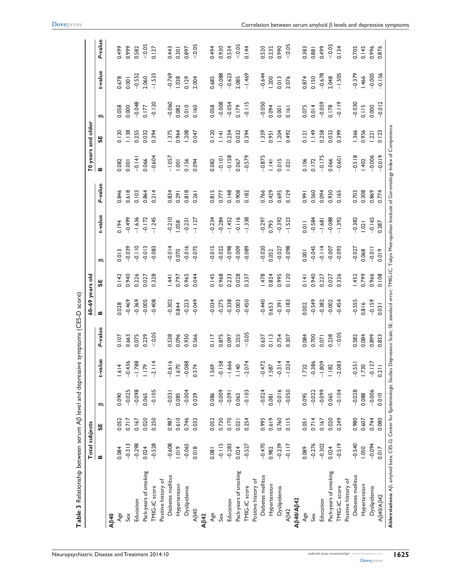| Table 3 Relationship between serum Aß level and depressive symptoms (CES-D score)                                                                                                       | <b>Total subjects</b> |       |          |                      |         | $60-69$ years old     |       |                     |               |         |                       | 70 years and older |          |          |             |
|-----------------------------------------------------------------------------------------------------------------------------------------------------------------------------------------|-----------------------|-------|----------|----------------------|---------|-----------------------|-------|---------------------|---------------|---------|-----------------------|--------------------|----------|----------|-------------|
|                                                                                                                                                                                         | $\boldsymbol{\omega}$ | SΕ    | $\circ$  | t-value              | P-value | $\boldsymbol{\omega}$ | 56    | ൶                   | t-value       | P-value | $\boldsymbol{\omega}$ | 56                 | ൶        | t-value  | P-value     |
| <b>A</b> <sup>840</sup>                                                                                                                                                                 |                       |       |          |                      |         |                       |       |                     |               |         |                       |                    |          |          |             |
| Age                                                                                                                                                                                     | 0.084                 | 0.052 | 0.090    | 1.614                | 0.107   | 0.028                 | 0.142 |                     | 0.194         | 0.846   | 0.82                  | 0.120              | 0.58     | 0.678    | 0.499       |
| Sex                                                                                                                                                                                     | $-0.313$              | 0.717 | $-0.025$ |                      | 0.663   | $-0.469$              | 0.940 | $0.013$<br>$-0.039$ | $-0.499$      | 0.618   | 0.001                 | 1.138              | 0.000    | 0.001    | 0.999       |
| Education                                                                                                                                                                               | $-0.298$              | 0.167 | $-0.098$ | $-0.436$<br>$-1.788$ | 0.075   | $-0.369$              | 0.226 | $-0.110$            | $-1.636$      | 0.103   | $-0.141$              | 0.255              | $-0.048$ | $-0.552$ | 0.582       |
| Pack-years of smoking                                                                                                                                                                   | 0.024                 | 0.020 | 0.065    | 1.179                | 0.239   | $-0.005$              | 0.027 | $-0.013$            | $-0.172$      | 0.864   | 0.066                 | 0.032              | 0.177    | 2.060    | < 0.05      |
| TMIG-IC score                                                                                                                                                                           | $-0.528$              | 0.250 | $-0.105$ | $-2.114$             | < 0.05  | $-0.408$              | 0.328 | $-0.083$            | $-1.245$      | 0.214   | $-0.604$              | 0.394              | $-0.120$ | $-1.533$ | 0.127       |
| Positive history of                                                                                                                                                                     |                       |       |          |                      |         |                       |       |                     |               |         |                       |                    |          |          |             |
| Diabetes mellitus                                                                                                                                                                       | $-0.608$              | 0.987 | $-0.031$ | $-0.616$             | 0.538   | $-0.302$              | 144   |                     | $-0.210$      | 0.834   | $-1.057$              | 1.375              | $-0.060$ | $-0.769$ | 0.443       |
| Hypertension                                                                                                                                                                            | 0.019                 | 0.610 | 0.085    | 1.670                | 0.096   | 0.844                 | 0.797 | $-0.014$<br>0.070   | 1.058         | 0.291   | 1.001                 | 0.964              | 0.082    | 1.038    | 0.301       |
| Dyslipidemia                                                                                                                                                                            | $-0.065$              | 0.746 | $-0.004$ | $-0.088$             | 0.930   | $-0.223$              | 0.965 | $-0.016$            | $-0.231$      | 0.818   | 0.156                 | 1.208              | 0.010    | 0.129    | 0.897       |
| A <sub>B40</sub>                                                                                                                                                                        | 0.018                 | 0.032 | 0.029    | 0.574                | 0.566   | $-0.049$              | 0.044 | $-0.075$            | $-1.127$      | 0.261   | 0.094                 | 0.047              | 0.160    | 2.004    | < 0.05      |
| <b>A</b> $\beta$ 42                                                                                                                                                                     |                       |       |          |                      |         |                       |       |                     |               |         |                       |                    |          |          |             |
| Age                                                                                                                                                                                     | 0.081                 | 0.052 | 0.086    | 1.569                | 0.117   | $-0.034$              | 0.145 | $-0.015$            | $-0.234$      | 0.815   | 0.082                 | 0.120              | 0.058    | 0.685    | 0.494       |
| Sex                                                                                                                                                                                     | $-0.115$              | 0.730 | $-0.009$ |                      | 0.875   | $-0.275$              | 0.968 | $-0.022$            | $-0.284$      | 0.777   | $-0.101$              | 141                | $-0.008$ | $-0.088$ | 0.930       |
| Education                                                                                                                                                                               | $-0.283$              | 0.170 | $-0.091$ | $-0.158$<br>$-1.666$ | 0.097   | $-0.338$              | 0.233 | $-0.098$            | $-1.452$      | 0.148   | $-0.158$              | 0.254              | $-0.054$ | $-0.623$ | 0.534       |
| Pack-years of smoking                                                                                                                                                                   | 0.024                 | 0.021 | 0.063    | 1.140                | 0.255   | $-0.003$              | 0.028 | $-0.009$            | $-0.116$      | 0.908   | 0.067                 | 0.032              | 0.179    | 2.085    | < 0.05      |
| TMIG-IC score                                                                                                                                                                           | $-0.527$              | 0.254 | $-0.103$ | 4<br>$-2.07$         | < 0.05  | $-0.450$              | 0.337 | $-0.089$            | $-1.338$      | 0.182   | $-0.579$              | 0.394              | $-0.115$ | $-1.469$ | 0.144       |
| Positive history of                                                                                                                                                                     |                       |       |          |                      |         |                       |       |                     |               |         |                       |                    |          |          |             |
| Diabetes mellitus                                                                                                                                                                       | $-0.470$              | 0.995 | $-0.024$ | $-0.472$             | 0.637   | $-0.440$              | 1.478 | $-0.020$            | $-0.297$      | 0.766   | $-0.875$              | 1.359              | $-0.050$ | $-0.644$ | 0.520       |
| Hypertension                                                                                                                                                                            | 0.982                 | 0.619 | 0.081    | 1.587                | 0.113   | 0.653                 | 0.824 | 0.052               | 0.793         | 0.429   | 1.141                 | 0.951              | 0.094    | 1.200    | 0.232       |
| Dyslipidemia                                                                                                                                                                            | $-0.239$              | 0.760 | $-0.016$ | $-0.314$             | 0.754   | $-0.391$              | 0.995 | $-0.027$            | $-0.392$      | 0.695   | 0.015                 | 1.204              | 0.001    | 0.013    | 0.990       |
| A <sub>B42</sub>                                                                                                                                                                        | $-0.117$              | 0.115 | $-0.050$ | $-1.024$             | 0.307   | $-0.183$              | 0.120 | $-0.098$            | $-1.523$      | 0.129   | 1.021                 | 0.492              | 0.161    | 2.076    | < 0.05      |
| <b>AB40/AB42</b>                                                                                                                                                                        |                       |       |          |                      |         |                       |       |                     |               |         |                       |                    |          |          |             |
| Age                                                                                                                                                                                     | 0.089                 | 0.051 | 0.095    | 1.732                | 0.084   | 0.002                 | 0.141 | 0.001               | $\frac{1}{2}$ | 1660    | 0.106                 | 0.121              | 0.075    | 0.874    | 0.383       |
| Sex                                                                                                                                                                                     | $-0.276$              | 0.714 | $-0.022$ | $-0.386$<br>$-1.809$ | 0.700   | $-0.549$              | 0.940 | $-0.045$            | $-0.584$      | 0.560   | 0.172                 | 1.149              | 0.014    | 0.150    | 0.881       |
| Education                                                                                                                                                                               | $-0.302$              | 0.167 | $-0.099$ |                      | 0.071   | $-0.382$              | 0.227 | $-0.114$            | $-1.681$      | 0.094   | $-0.175$              | 0.258              | $-0.059$ | $-0.678$ | 0.499       |
| Pack-years of smoking                                                                                                                                                                   | 0.024                 | 0.020 | 0.065    | 1.182                | 0.238   | $-0.002$              | 0.027 | $-0.007$            | $-0.088$      | 0.930   | 0.066                 | 0.032              | 0.178    | 2.048    | $<\!\!0.05$ |
| TMIG-IC score                                                                                                                                                                           | $-0.519$              | 0.249 | $-0.104$ | $-2.083$             | < 0.05  | $-0.454$              | 0.326 | $-0.093$            | $-1.392$      | 0.165   | $-0.601$              | 0.399              | $-0.119$ | $-1.505$ | 0.134       |
| Positive history of                                                                                                                                                                     |                       |       |          |                      |         |                       |       |                     |               |         |                       |                    |          |          |             |
| Diabetes mellitus                                                                                                                                                                       | $-0.540$              | 0.980 | $-0.028$ | $-0.551$             | 0.582   | $-0.555$              | 1.452 | $-0.027$            | $-0.382$      | 0.703   | $-0.518$              | 1.366              | $-0.030$ | $-0.379$ | 0.705       |
| Hypertension                                                                                                                                                                            | 1.050                 | 0.607 | 0.088    | 1.730                | 0.084   | 0.816                 | 0.799 | 0.068               | 1.021         | 0.308   | 1.402                 | 0.956              | 0.115    | 1.466    | 0.145       |
| Dyslipidemia                                                                                                                                                                            | $-0.094$              | 0.744 | $-0.006$ | $-0.127$             | 0.899   | $-0.159$              | 0.966 | $-0.011$            | $-0.165$      | 0.869   | $-0.006$              | 1.221              | 0.000    | $-0.005$ | 0.996       |
| AB40/AB42                                                                                                                                                                               | 0.017                 | 0.080 | 0.010    | 0.211                | 0.833   | 0.031                 | 0.108 | 0.019               | 0.287         | 0.774   | $-0.019$              | 0.123              | $-0.012$ | $-0.156$ | 0.876       |
| Abbreviations: Aß, amyloid beta; CES-D, Center for Epidemiologic Studies Depression Scale; SE, standard error; TMIG-IC, Tokyo Metropolitan Institute of Gerontology Index of Competence |                       |       |          |                      |         |                       |       |                     |               |         |                       |                    |          |          |             |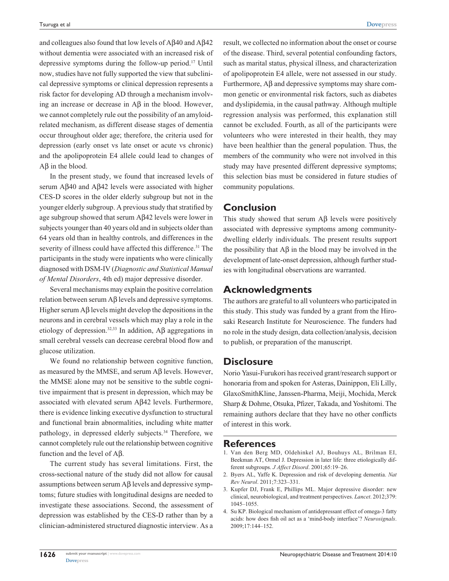and colleagues also found that low levels of Aβ40 and Aβ42 without dementia were associated with an increased risk of depressive symptoms during the follow-up period.17 Until now, studies have not fully supported the view that subclinical depressive symptoms or clinical depression represents a risk factor for developing AD through a mechanism involving an increase or decrease in Aβ in the blood. However, we cannot completely rule out the possibility of an amyloidrelated mechanism, as different disease stages of dementia occur throughout older age; therefore, the criteria used for depression (early onset vs late onset or acute vs chronic) and the apolipoprotein E4 allele could lead to changes of Aβ in the blood.

In the present study, we found that increased levels of serum Aβ40 and Aβ42 levels were associated with higher CES-D scores in the older elderly subgroup but not in the younger elderly subgroup. A previous study that stratified by age subgroup showed that serum Aβ42 levels were lower in subjects younger than 40 years old and in subjects older than 64 years old than in healthy controls, and differences in the severity of illness could have affected this difference.<sup>31</sup> The participants in the study were inpatients who were clinically diagnosed with DSM-IV (*Diagnostic and Statistical Manual of Mental Disorders*, 4th ed) major depressive disorder.

Several mechanisms may explain the positive correlation relation between serum Aβ levels and depressive symptoms. Higher serum  $\overrightarrow{AB}$  levels might develop the depositions in the neurons and in cerebral vessels which may play a role in the etiology of depression.<sup>32,33</sup> In addition,  $\mathbf{A}\boldsymbol{\beta}$  aggregations in small cerebral vessels can decrease cerebral blood flow and glucose utilization.

We found no relationship between cognitive function, as measured by the MMSE, and serum Aβ levels. However, the MMSE alone may not be sensitive to the subtle cognitive impairment that is present in depression, which may be associated with elevated serum Aβ42 levels. Furthermore, there is evidence linking executive dysfunction to structural and functional brain abnormalities, including white matter pathology, in depressed elderly subjects.34 Therefore, we cannot completely rule out the relationship between cognitive function and the level of Aβ.

The current study has several limitations. First, the cross-sectional nature of the study did not allow for causal assumptions between serum Aβ levels and depressive symptoms; future studies with longitudinal designs are needed to investigate these associations. Second, the assessment of depression was established by the CES-D rather than by a clinician-administered structured diagnostic interview. As a

**[Dovepress](www.dovepress.com)  1626**

result, we collected no information about the onset or course of the disease. Third, several potential confounding factors, such as marital status, physical illness, and characterization of apolipoprotein E4 allele, were not assessed in our study. Furthermore, Aβ and depressive symptoms may share common genetic or environmental risk factors, such as diabetes and dyslipidemia, in the causal pathway. Although multiple regression analysis was performed, this explanation still cannot be excluded. Fourth, as all of the participants were volunteers who were interested in their health, they may have been healthier than the general population. Thus, the members of the community who were not involved in this study may have presented different depressive symptoms; this selection bias must be considered in future studies of community populations.

## **Conclusion**

This study showed that serum Aβ levels were positively associated with depressive symptoms among communitydwelling elderly individuals. The present results support the possibility that  $\overrightarrow{AB}$  in the blood may be involved in the development of late-onset depression, although further studies with longitudinal observations are warranted.

# **Acknowledgments**

The authors are grateful to all volunteers who participated in this study. This study was funded by a grant from the Hirosaki Research Institute for Neuroscience. The funders had no role in the study design, data collection/analysis, decision to publish, or preparation of the manuscript.

# **Disclosure**

Norio Yasui-Furukori has received grant/research support or honoraria from and spoken for Asteras, Dainippon, Eli Lilly, GlaxoSmithKline, Janssen-Pharma, Meiji, Mochida, Merck Sharp & Dohme, Otsuka, Pfizer, Takada, and Yoshitomi. The remaining authors declare that they have no other conflicts of interest in this work.

## **References**

- 1. Van den Berg MD, Oldehinkel AJ, Bouhuys AL, Brilman EI, Beekman AT, Ormel J. Depression in later life: three etiologically different subgroups. *J Affect Disord*. 2001;65:19–26.
- 2. Byers AL, Yaffe K. Depression and risk of developing dementia. *Nat Rev Neurol*. 2011;7:323–331.
- 3. Kupfer DJ, Frank E, Phillips ML. Major depressive disorder: new clinical, neurobiological, and treatment perspectives. *Lancet*. 2012;379: 1045–1055.
- 4. Su KP. Biological mechanism of antidepressant effect of omega-3 fatty acids: how does fish oil act as a 'mind-body interface'? *Neurosignals*. 2009;17:144–152.